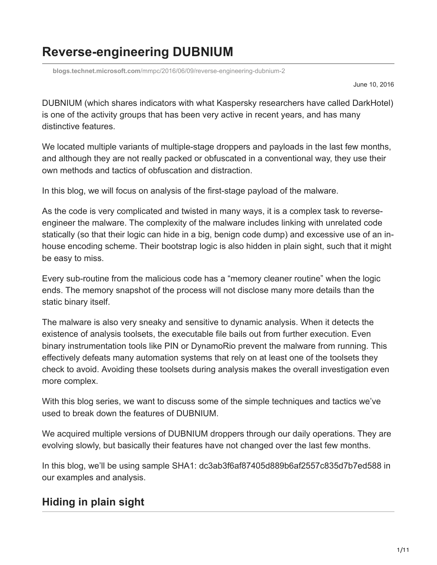# **Reverse-engineering DUBNIUM**

**blogs.technet.microsoft.com**[/mmpc/2016/06/09/reverse-engineering-dubnium-2](https://blogs.technet.microsoft.com/mmpc/2016/06/09/reverse-engineering-dubnium-2)

June 10, 2016

DUBNIUM (which shares indicators with what Kaspersky researchers have called DarkHotel) is one of the activity groups that has been very active in recent years, and has many distinctive features.

We located multiple variants of multiple-stage droppers and payloads in the last few months, and although they are not really packed or obfuscated in a conventional way, they use their own methods and tactics of obfuscation and distraction.

In this blog, we will focus on analysis of the first-stage payload of the malware.

As the code is very complicated and twisted in many ways, it is a complex task to reverseengineer the malware. The complexity of the malware includes linking with unrelated code statically (so that their logic can hide in a big, benign code dump) and excessive use of an inhouse encoding scheme. Their bootstrap logic is also hidden in plain sight, such that it might be easy to miss.

Every sub-routine from the malicious code has a "memory cleaner routine" when the logic ends. The memory snapshot of the process will not disclose many more details than the static binary itself.

The malware is also very sneaky and sensitive to dynamic analysis. When it detects the existence of analysis toolsets, the executable file bails out from further execution. Even binary instrumentation tools like PIN or DynamoRio prevent the malware from running. This effectively defeats many automation systems that rely on at least one of the toolsets they check to avoid. Avoiding these toolsets during analysis makes the overall investigation even more complex.

With this blog series, we want to discuss some of the simple techniques and tactics we've used to break down the features of DUBNIUM.

We acquired multiple versions of DUBNIUM droppers through our daily operations. They are evolving slowly, but basically their features have not changed over the last few months.

In this blog, we'll be using sample SHA1: dc3ab3f6af87405d889b6af2557c835d7b7ed588 in our examples and analysis.

# **Hiding in plain sight**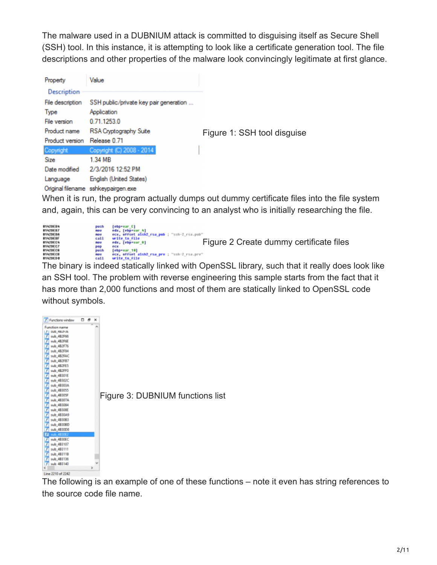The malware used in a DUBNIUM attack is committed to disguising itself as Secure Shell (SSH) tool. In this instance, it is attempting to look like a certificate generation tool. The file descriptions and other properties of the malware look convincingly legitimate at first glance.

| Property           | Value                                  |                             |
|--------------------|----------------------------------------|-----------------------------|
| <b>Description</b> |                                        |                             |
| File description   | SSH public/private key pair generation |                             |
| Type               | Application                            |                             |
| File version       | 0.71.1253.0                            |                             |
| Product name       | <b>RSA Cryptography Suite</b>          | Figure 1: SSH tool disguise |
| Product version    | Release 0.71                           |                             |
| Copyright          | Copyright (C) 2008 - 2014              |                             |
| <b>Size</b>        | 1.34 MB                                |                             |
| Date modified      | 2/3/2016 12:52 PM                      |                             |
| Language           | English (United States)                |                             |
|                    | Original filename sshkevpairgen.exe    |                             |

When it is run, the program actually dumps out dummy certificate files into the file system and, again, this can be very convincing to an analyst who is initially researching the file.

| 01420EB4<br><b>0142DE07</b><br>01420EBA<br>01420EBF<br>8142DEC4<br>0142DEC7<br>0142DEC8<br><b>0142DECD</b><br>01420ED@ | push<br>nov<br>nov<br>call<br>nov<br>pop<br>push<br>nov<br>ca11 | [ebp+var C]<br>edx, [ebp+var 4]<br>ecx, offset assh2 rsa_pub ; "ssh-2 rsa.pub"<br>urite to file<br>Figure 2 Create dummy certificate files<br>edx, [ebp+var 8]<br>ecx<br>$[ebp+var 10]$<br>ecx, offset assh2 rsa pro : "ssh-2 rsa.pro"<br>write to file |
|------------------------------------------------------------------------------------------------------------------------|-----------------------------------------------------------------|---------------------------------------------------------------------------------------------------------------------------------------------------------------------------------------------------------------------------------------------------------|
|------------------------------------------------------------------------------------------------------------------------|-----------------------------------------------------------------|---------------------------------------------------------------------------------------------------------------------------------------------------------------------------------------------------------------------------------------------------------|

The binary is indeed statically linked with OpenSSL library, such that it really does look like an SSH tool. The problem with reverse engineering this sample starts from the fact that it has more than 2,000 functions and most of them are statically linked to OpenSSL code without symbols.



The following is an example of one of these functions – note it even has string references to the source code file name.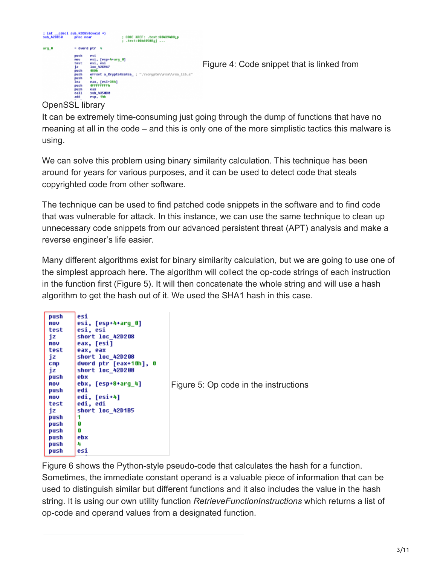

OpenSSL library

It can be extremely time-consuming just going through the dump of functions that have no meaning at all in the code – and this is only one of the more simplistic tactics this malware is using.

We can solve this problem using binary similarity calculation. This technique has been around for years for various purposes, and it can be used to detect code that steals copyrighted code from other software.

The technique can be used to find patched code snippets in the software and to find code that was vulnerable for attack. In this instance, we can use the same technique to clean up unnecessary code snippets from our advanced persistent threat (APT) analysis and make a reverse engineer's life easier.

Many different algorithms exist for binary similarity calculation, but we are going to use one of the simplest approach here. The algorithm will collect the op-code strings of each instruction in the function first (Figure 5). It will then concatenate the whole string and will use a hash algorithm to get the hash out of it. We used the SHA1 hash in this case.

| push       | esi                    |       |
|------------|------------------------|-------|
| nov        | esi, [esp+4+arq 0]     |       |
| test       | esi. esi               |       |
| įΖ         | short loc 42D208       |       |
| nov        | eax, [esi]             |       |
| test       | eax, eax               |       |
| iz         | short loc 420208       |       |
| <b>CMD</b> | dword ptr [eax+10h], 0 |       |
| jz         | short loc_42D208       |       |
| push       | ebx                    |       |
| nov        | ebx, [esp+8+arq_4]     | Figur |
| push       | edi                    |       |
| nov        | edi, [esi+4]           |       |
| test       | edi, edi               |       |
| iz         | short loc 42D1B5       |       |
| push       |                        |       |
| push       | Ø                      |       |
| push       | A                      |       |
| push       | ebx                    |       |
| push       | 4                      |       |
| push       | esi                    |       |

re 5: Op code in the instructions

Figure 6 shows the Python-style pseudo-code that calculates the hash for a function. Sometimes, the immediate constant operand is a valuable piece of information that can be used to distinguish similar but different functions and it also includes the value in the hash string. It is using our own utility function *RetrieveFunctionInstructions* which returns a list of op-code and operand values from a designated function.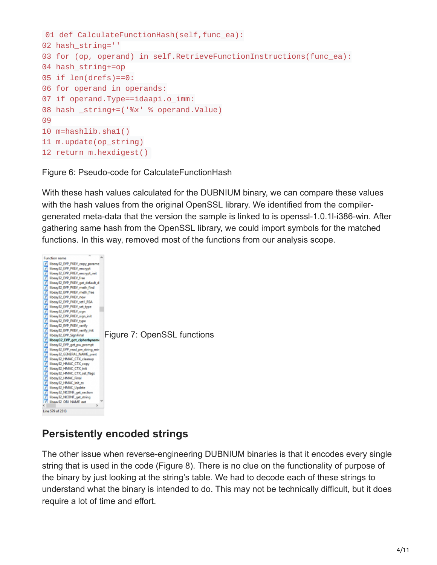```
01 def CalculateFunctionHash(self, func_ea):
02 hash_string=''
03 for (op, operand) in self.RetrieveFunctionInstructions(func_ea):
04 hash_string+=op
05 if len(drefs)==0:
06 for operand in operands:
07 if operand.Type==idaapi.o_imm:
08 hash _string+=('%x' % operand.Value)
09
10 m=hashlib.sha1()
11 m.update(op_string)
12 return m.hexdigest()
```
Figure 6: Pseudo-code for CalculateFunctionHash

With these hash values calculated for the DUBNIUM binary, we can compare these values with the hash values from the original OpenSSL library. We identified from the compilergenerated meta-data that the version the sample is linked to is openssl-1.0.1l-i386-win. After gathering same hash from the OpenSSL library, we could import symbols for the matched functions. In this way, removed most of the functions from our analysis scope.



### **Persistently encoded strings**

The other issue when reverse-engineering DUBNIUM binaries is that it encodes every single string that is used in the code (Figure 8). There is no clue on the functionality of purpose of the binary by just looking at the string's table. We had to decode each of these strings to understand what the binary is intended to do. This may not be technically difficult, but it does require a lot of time and effort.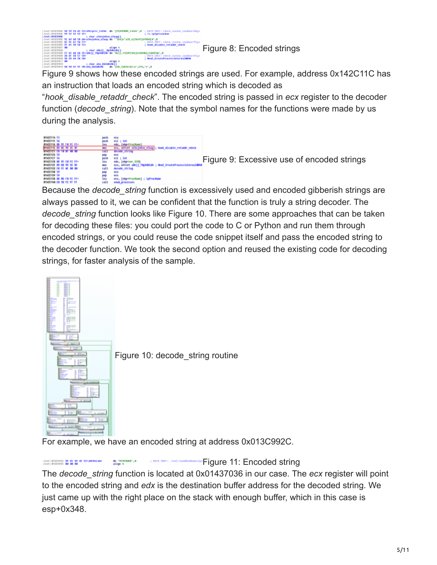

Figure 9 shows how these encoded strings are used. For example, address 0x142C11C has an instruction that loads an encoded string which is decoded as

"*hook\_disable\_retaddr\_check*". The encoded string is passed in *ecx* register to the decoder function (*decode\_string*). Note that the symbol names for the functions were made by us during the analysis.

| <b>BENDETTN 51</b>                    | pash  | eck                                                         |                                            |
|---------------------------------------|-------|-------------------------------------------------------------|--------------------------------------------|
| <b><i>BTAZCTTS 56</i></b>             | pesh  | esi : int                                                   |                                            |
| <b>BIADE116 BD 95 FB FE FF-</b>       | 188   | edx. [ebg=ProcHane]                                         |                                            |
| <b>MINORTTE BY BC 99 SE BY</b>        | ne o  | ecx, offset alhojektu eZway; hook disable retaddr_check     |                                            |
| <b>BENCHALL AS AS AS AN AN</b>        | call  | decode string                                               |                                            |
| <b>B142C136 59</b>                    | pap   | <b>PCK</b>                                                  |                                            |
| <b>B1N2C127 S6</b>                    | pash  | esi : int                                                   |                                            |
| <b>BIADDICK 80 95 EB FC FF-</b>       | 10a   | edx, [ebp=war 329]                                          | Figure 9: Excessive use of encoded strings |
| <b><i>B1NDE13E B9 DB 99 3E B1</i></b> | ne o  | ecx, affort simil TW/Addish ; New? CreateProcessInternalWPM |                                            |
| <b>BYAZCY33 ER FE NE DO DO</b>        | call  | decode string                                               |                                            |
| <b>81420138 59</b>                    | pep   | <b>DER</b>                                                  |                                            |
| <b>B142C139 S9</b>                    | pag   | <b>PCK</b>                                                  |                                            |
| <b>BYAZCY3M RD RD FB FE FF+</b>       | lea   | ecs, [ebp=ProcName] ; 1pProcName                            |                                            |
| <b>BIADEINA EN 50 FC FF FF</b>        | call1 | enun processes                                              |                                            |

Because the *decode\_string* function is excessively used and encoded gibberish strings are always passed to it, we can be confident that the function is truly a string decoder. The *decode\_string* function looks like Figure 10. There are some approaches that can be taken for decoding these files: you could port the code to C or Python and run them through encoded strings, or you could reuse the code snippet itself and pass the encoded string to the decoder function. We took the second option and reused the existing code for decoding strings, for faster analysis of the sample.



For example, we have an encoded string at address 0x013C992C.

Jestificante de 45 de 46 52-avererano db "SERERAKE", 6 [F](https://www.microsoft.com/security/blog/uploads/2018/01/116.png)igure 11: Encoded string

The *decode\_string* function is located at 0x01437036 in our case. The *ecx* register will point to the encoded string and *edx* is the destination buffer address for the decoded string. We just came up with the right place on the stack with enough buffer, which in this case is esp+0x348.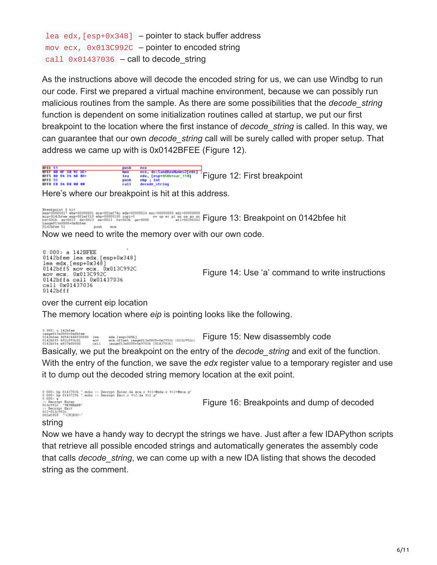Lea edx,  $[esp+0x348]$  – pointer to stack buffer address mov ecx, 0x013C992C – pointer to encoded string call  $0 \times 01437036$  – call to decode string

As the instructions above will decode the encoded string for us, we can use Windbg to run our code. First we prepared a virtual machine environment, because we can possibly run malicious routines from the sample. As there are some possibilities that the *decode\_string* function is dependent on some initialization routines called at startup, we put our first breakpoint to the location where the first instance of *decode\_string* is called. In this way, we can guarantee that our own *decode\_string* call will be surely called with proper setup. That address we came up with is 0x0142BFEE (Figure 12).

UFLE 51<br>BFEF 88 BF 30 9C 3C+<br>OFFC 55<br>BFFC 55<br>OFFD CO 34 DO 00 00 **ecx, ds:SandBoxHanes2[ed1]**<br>
Pex, lesp<sup>a</sup> h58h+war\_110]<br> **Eigure 12: [F](https://www.microsoft.com/security/blog/uploads/2018/01/122.png)irst breakpoint**<br> **decode\_string Filipp** 1ea  $_{\rm{ca11}}^{\rm{ncs}}$ 

Here's where our breakpoint is hit at this address.

|Breakpoint © hit<br>|exp="0100010 = exp="001ef510 ebp=00000105 sep1=0<br>|exp="0142bfee emp="001ef510 ebp=00000105 sep1=0<br>|axage011a0000+0xfbfee : push exp="0023" fx="003b" gx="0000 "" up ei pl nr na pp nc [F](https://www.microsoft.com/security/blog/uploads/2018/01/131.png)igure 13: Breakpoint

Now we need to write the memory over with our own code.

 $0:000$  a 142BFEE 0142bfee lea edx.[esp+0x348] 0142bf = 1ea edx, [esp+0x340]<br>0142bf f 5 nov ecx, 0x013C992C<br>nov ecx, 0x013C992C<br>0142bf fa call 0x01437036 call 0x01437036<br>0142bfff

[F](https://www.microsoft.com/security/blog/uploads/2018/01/141.png)igure 14: Use 'a' command to write instructions

over the current eip location

The memory location where *eip* is pointing looks like the following.

 $\begin{tabular}{l} 0:000 > u 142b \texttt{fee} \\ \texttt{inagn011a000041x0b} \\ 0142b \texttt{fee} \ 042424400000000001 \\ 0142b \texttt{ffe} \ 0132c93c01 \\ 0142b \texttt{ffe} \ 0137b00000000001 \\ \texttt{0112b} \end{tabular}$ edx.[esp+348h]<br>ecx.offset image813a8080+0x2992c (813c992c)<br>image813a888b+0x97836 (81437836) [F](https://www.microsoft.com/security/blog/uploads/2018/01/151.png)igure 15: New disassembly code

Basically, we put the breakpoint on the entry of the *decode\_string* and exit of the function. With the entry of the function, we save the *edx* register value to a temporary register and use it to dump out the decoded string memory location at the exit point.

```
0:000> bp 01437036 ".echo >> Decrypt Enterida ecsir #t1=@edsir #t2=@ecsig"<br>0:000> bp 01437296 ".echo >> Decrypt Exitir #t2jda #t1:g"<br>0:000> g
0:000> g<br>>> Dacrypt Enter<br>013c912c '9E9ERAMR'<br>>> Decrypt Exit<br>$t2=013c992c<br>011ef858 '<UUCHOO\'
                                                                                                                                    Figure 16: Breakpoints and dump of decoded
```
#### string

Now we have a handy way to decrypt the strings we have. Just after a few IDAPython scripts that retrieve all possible encoded strings and automatically generates the assembly code that calls *decode\_string*, we can come up with a new IDA listing that shows the decoded string as the comment.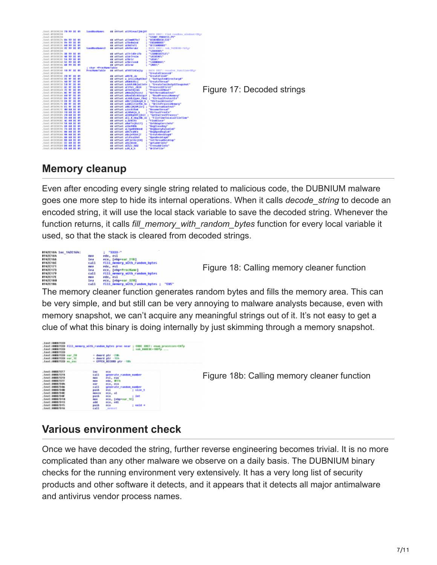

### **Memory cleanup**

Even after encoding every single string related to malicious code, the DUBNIUM malware goes one more step to hide its internal operations. When it calls *decode\_string* to decode an encoded string, it will use the local stack variable to save the decoded string. Whenever the function returns, it calls *fill\_memory\_with\_random\_bytes* function for every local variable it used, so that the stack is cleared from decoded strings.



[F](https://www.microsoft.com/security/blog/uploads/2018/01/181.png)igure 18: Calling memory cleaner function

The memory cleaner function generates random bytes and fills the memory area. This can be very simple, and but still can be very annoying to malware analysts because, even with memory snapshot, we can't acquire any meaningful strings out of it. It's not easy to get a clue of what this binary is doing internally by just skimming through a memory snapshot.

| $.$ test:0008/CCD<br>$-text:00007CCD$<br>.test:0008/CCD | test:00007CCD fill memory with random bytes proc near ; CODE 3REF: enum processes-CATp<br>: sub BABERE+100To |
|---------------------------------------------------------|--------------------------------------------------------------------------------------------------------------|
| .test:00EE/CCD var 20                                   | $+$ deard str $-200$                                                                                         |
| .test:00007CCD var 10                                   | $=$ deard str $-10h$                                                                                         |
| .test:0000/CCD ms exc                                   | - GPPEN RECORD ptr -10h                                                                                      |
|                                                         |                                                                                                              |
|                                                         |                                                                                                              |
| .text:####7EF7                                          | <b>SBC</b><br>ecx                                                                                            |
| .text:####7CF#                                          | <b>eal1</b><br>generate randon number                                                                        |
| .text:####7CFB                                          | esi, eas<br><b>Ball</b>                                                                                      |
| .text:#0087EFF                                          | edx, Wih<br><b>No U</b>                                                                                      |
| .text:#8887304                                          | $n = r$<br>ecx, ecx                                                                                          |
| .text:####79.06                                         | generate randon number<br>call                                                                               |
| text:####7946                                           | ; size t<br>pash                                                                                             |
|                                                         | eui.                                                                                                         |
| .text:####79#C                                          | <b>MON2H</b><br>ecx, al                                                                                      |
| .text:####79.0F                                         | 1.105<br>pash<br>eca                                                                                         |
| .text:#0087910                                          | ecx, [ebp+ear 10]<br><b>Bar</b>                                                                              |
| .text:####7913                                          | add<br>ecx, edi                                                                                              |
| .text:####7915                                          | $:$ void $*$<br>pash<br>eca                                                                                  |
| text:####7916                                           | call.<br>nomiet                                                                                              |

[F](https://www.microsoft.com/security/blog/uploads/2018/01/18b.png)igure 18b: Calling memory cleaner function

# **Various environment check**

Once we have decoded the string, further reverse engineering becomes trivial. It is no more complicated than any other malware we observe on a daily basis. The DUBNIUM binary checks for the running environment very extensively. It has a very long list of security products and other software it detects, and it appears that it detects all major antimalware and antivirus vendor process names.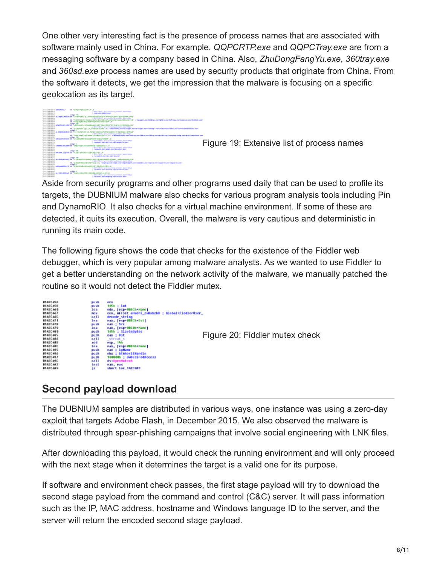One other very interesting fact is the presence of process names that are associated with software mainly used in China. For example, *QQPCRTP.exe* and *QQPCTray.exe* are from a messaging software by a company based in China. Also, *ZhuDongFangYu.exe*, *360tray.exe* and *360sd.exe* process names are used by security products that originate from China. From the software it detects, we get the impression that the malware is focusing on a specific geolocation as its target.



Aside from security programs and other programs used daily that can be used to profile its targets, the DUBNIUM malware also checks for various program analysis tools including Pin and DynamoRIO. It also checks for a virtual machine environment. If some of these are detected, it quits its execution. Overall, the malware is very cautious and deterministic in running its main code.

The following figure shows the code that checks for the existence of the Fiddler web debugger, which is very popular among malware analysts. As we wanted to use Fiddler to get a better understanding on the network activity of the malware, we manually patched the routine so it would not detect the Fiddler mutex.



### **Second payload download**

The DUBNIUM samples are distributed in various ways, one instance was using a zero-day exploit that targets Adobe Flash, in December 2015. We also observed the malware is distributed through spear-phishing campaigns that involve social engineering with LNK files.

After downloading this payload, it would check the running environment and will only proceed with the next stage when it determines the target is a valid one for its purpose.

If software and environment check passes, the first stage payload will try to download the second stage payload from the command and control (C&C) server. It will pass information such as the IP, MAC address, hostname and Windows language ID to the server, and the server will return the encoded second stage payload.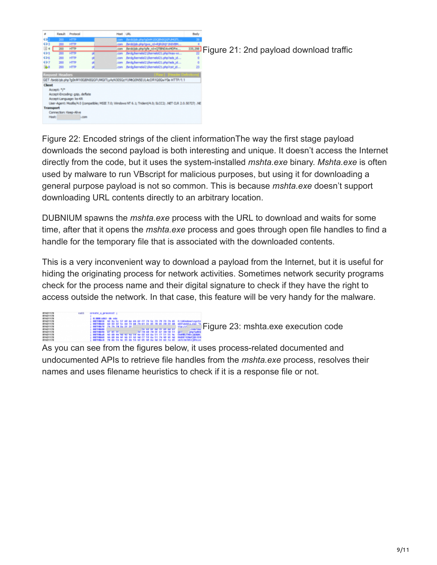

Figure 22: Encoded strings of the client informationThe way the first stage payload downloads the second payload is both interesting and unique. It doesn't access the Internet directly from the code, but it uses the system-installed *mshta.exe* binary. *Mshta.exe* is often used by malware to run VBscript for malicious purposes, but using it for downloading a general purpose payload is not so common. This is because *mshta.exe* doesn't support downloading URL contents directly to an arbitrary location.

DUBNIUM spawns the *mshta.exe* process with the URL to download and waits for some time, after that it opens the *mshta.exe* process and goes through open file handles to find a handle for the temporary file that is associated with the downloaded contents.

This is a very inconvenient way to download a payload from the Internet, but it is useful for hiding the originating process for network activities. Sometimes network security programs check for the process name and their digital signature to check if they have the right to access outside the network. In that case, this feature will be very handy for the malware.

**[F](https://www.microsoft.com/security/blog/uploads/2018/01/231.png)igure 23:** mshta.exe execution code 01000110555<br>00790558 42<br>0079058 62<br>0079058 <u>74</u>

As you can see from the figures below, it uses process-related documented and undocumented APIs to retrieve file handles from the *mshta.exe* process, resolves their names and uses filename heuristics to check if it is a response file or not.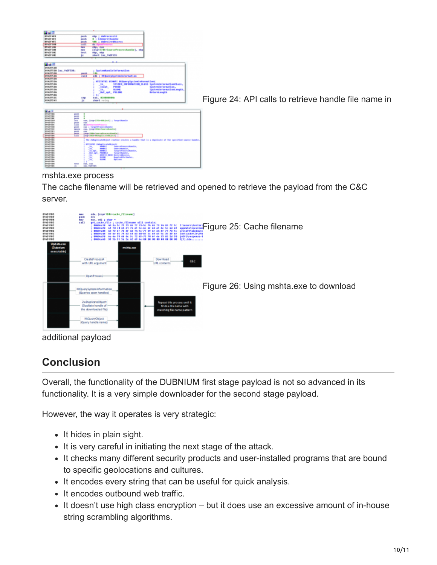| --                                 |                                                                                                    |
|------------------------------------|----------------------------------------------------------------------------------------------------|
| <b><i>B1420 MFB</i></b>            | pach<br>ebp : duProcessid                                                                          |
| <b>B1NZFWFC</b>                    | 0 : binhovitHandle<br>pach                                                                         |
| <b><i>B1420 MFS</i></b>            | <b>AM : debesiredAccess</b><br>pach                                                                |
| 814,755,88                         | call<br>461<br><b>TOLPIA</b>                                                                       |
| <b>RT 9.79 % B&amp;</b>            | <b>PMP UP</b><br>P50. P38                                                                          |
| <b><i>B1N2F588</i></b>             | <b>Pair</b> of<br>[eig+27@v=lourceProcessRandle], ebp                                              |
| <b><i>B142F1BC</i></b>             | tect<br>Php., 46p                                                                                  |
| <b><i>B152F5.0E</i></b>            | chert lac 182FULS                                                                                  |
|                                    | 10                                                                                                 |
|                                    |                                                                                                    |
|                                    |                                                                                                    |
| <b>A 16 16</b>                     |                                                                                                    |
| <b><i>B1420538</i></b>             |                                                                                                    |
| <b>BIADISDO DAC IADESDO:</b>       | ; SystemMandleInFormation                                                                          |
| <b>R1427538</b>                    | 181                                                                                                |
| <b><i>R1425538</i></b>             | paids<br><b>Sall</b><br>edi ; MiBuergigateminéarmation                                             |
| <b><i>R1420538</i></b>             |                                                                                                    |
|                                    |                                                                                                    |
| <b><i>B1425538</i></b>             | <b>NTSTATES WINNFI MEQuerySystemInformations</b>                                                   |
| #14271538                          | SYLTEM INFORMATION CLASS SysteminformationClass.<br>Jn                                             |
| <b><i>B142F538</i></b>             | Innet<br>POSIS<br>tectentaformation,                                                               |
| #1427138                           | <b>BILDING</b><br>UpitentaformationLength,<br><b>Tim</b>                                           |
| <b><i>B152F135</i></b>             | <b>Apt. PH.090</b><br><b>Birlared.cogilh</b>                                                       |
| #1527138                           | ы                                                                                                  |
| <b>BENJULSC</b>                    | ras, <b>ECONOMIA</b><br>174                                                                        |
| <b><i>BINDERNI</i></b>             | u<br>short retro                                                                                   |
|                                    |                                                                                                    |
|                                    |                                                                                                    |
|                                    |                                                                                                    |
| <b>BYANT188</b>                    | pos chi                                                                                            |
| <b>WIND LBS</b>                    | ٠<br>pault.                                                                                        |
| <b>WINDTER</b>                     | ٠<br>parts.                                                                                        |
| <b>WIND SEA</b><br><b>WIND SEN</b> | eas, (espiritualitati) ; largetheatle<br><b>SALE</b>                                               |
| <b>WINDISTS</b>                    | por citi<br>444<br><b>CATT</b><br>49.11<br>arrasthuces.                                            |
| <b>MINNYSER</b>                    | eas ; targethrocerchandto<br>por cit.                                                              |
| <b>WINDITER</b>                    | eas, (expirmate(surceBandle)<br><b>Adventure</b>                                                   |
| <b>RIVERTS</b>                     | pacts.<br>448                                                                                      |
| <b>ALL AN SALE</b>                 | --<br><b>Lange CREbe Count and Concernships (Co.)</b>                                              |
| <b><i>RIVETTA</i></b>              | <b>CATT</b><br>superMilk-MilkaplicateMajacti                                                       |
| <b>WINDER</b><br><b>MINST184</b>   | The JobupticateMhject contine creates a handle that is a duplicate of the opecified course handle. |
| <b>MINST184</b>                    |                                                                                                    |
| <b>WINDITER</b>                    | MISSATES Judicectical editions to                                                                  |
| <b>MINST 184</b>                   | imes d<br>mercefracecolandis.<br>36.                                                               |
| <b>WINDITER</b>                    | 黨<br>$\frac{1}{2}$<br>Improvement Le.                                                              |
| <b>WINDER</b>                      | <b>MARKET</b><br>34,440<br>TurgetProcessRandle.                                                    |
| <b>WINDITION</b>                   | <b>Bull</b> , <b>Juli</b><br><b>FRANCIS</b><br>TurgetRandle,                                       |
| <b>MINDI 184</b>                   | MIXII MIX Secorations.<br><b>CHECK</b>                                                             |
| <b>MINUTES</b>                     | ×<br>$m =$<br>Rand LeAttle Lindley                                                                 |
|                                    |                                                                                                    |
| <b>MINUTES</b>                     | $10 - 10 = 0.004$<br>ю<br><b>Bartlingham</b>                                                       |
| <b>WINDFIEL</b><br><b>MINUTES</b>  |                                                                                                    |
| <b>WINDITER</b>                    | Earch<br><b>REE., REE</b><br><b>Jan FASTTEN</b>                                                    |

[F](https://www.microsoft.com/security/blog/uploads/2018/01/242.png)igure 24: API calls to retrieve handle file name in

#### mshta.exe process

The cache filename will be retrieved and opened to retrieve the payload from the C&C server.



#### **Conclusion**

Overall, the functionality of the DUBNIUM first stage payload is not so advanced in its functionality. It is a very simple downloader for the second stage payload.

However, the way it operates is very strategic:

- It hides in plain sight.
- It is very careful in initiating the next stage of the attack.
- It checks many different security products and user-installed programs that are bound to specific geolocations and cultures.
- It encodes every string that can be useful for quick analysis.
- It encodes outbound web traffic.
- It doesn't use high class encryption but it does use an excessive amount of in-house string scrambling algorithms.